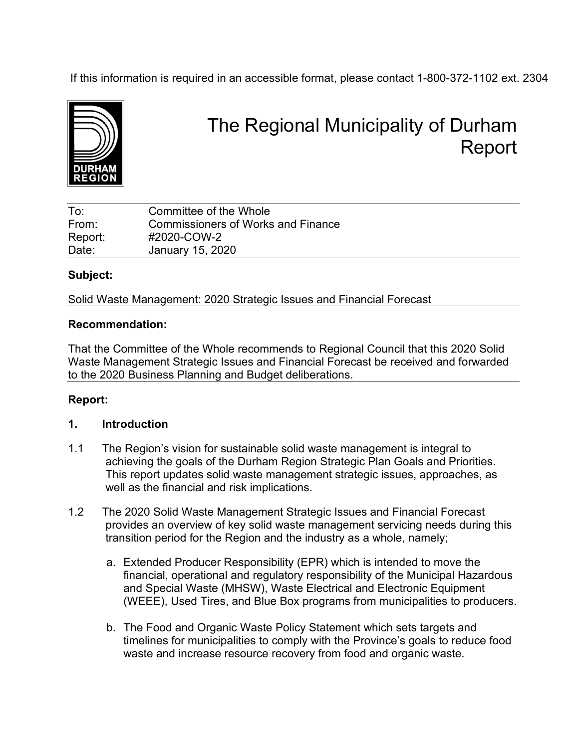If this information is required in an accessible format, please contact 1-800-372-1102 ext. 2304



# The Regional Municipality of Durham Report

| To:     | Committee of the Whole             |
|---------|------------------------------------|
| From:   | Commissioners of Works and Finance |
| Report: | #2020-COW-2                        |
| Date:   | January 15, 2020                   |

## **Subject:**

Solid Waste Management: 2020 Strategic Issues and Financial Forecast

#### **Recommendation:**

That the Committee of the Whole recommends to Regional Council that this 2020 Solid Waste Management Strategic Issues and Financial Forecast be received and forwarded to the 2020 Business Planning and Budget deliberations.

## **Report:**

## **1. Introduction**

- 1.1 The Region's vision for sustainable solid waste management is integral to achieving the goals of the Durham Region Strategic Plan Goals and Priorities. This report updates solid waste management strategic issues, approaches, as well as the financial and risk implications.
- 1.2 The 2020 Solid Waste Management Strategic Issues and Financial Forecast provides an overview of key solid waste management servicing needs during this transition period for the Region and the industry as a whole, namely;
	- a. Extended Producer Responsibility (EPR) which is intended to move the financial, operational and regulatory responsibility of the Municipal Hazardous and Special Waste (MHSW), Waste Electrical and Electronic Equipment (WEEE), Used Tires, and Blue Box programs from municipalities to producers.
	- b. The Food and Organic Waste Policy Statement which sets targets and timelines for municipalities to comply with the Province's goals to reduce food waste and increase resource recovery from food and organic waste.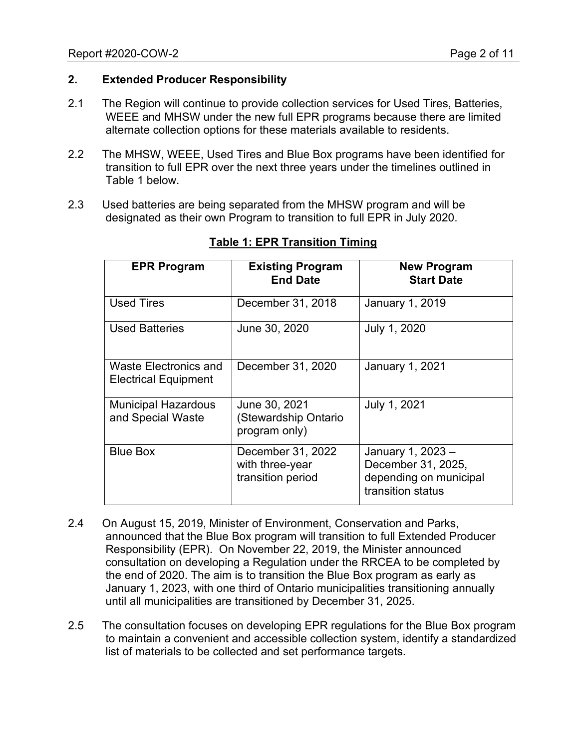## **2. Extended Producer Responsibility**

- 2.1 The Region will continue to provide collection services for Used Tires, Batteries, WEEE and MHSW under the new full EPR programs because there are limited alternate collection options for these materials available to residents.
- 2.2 The MHSW, WEEE, Used Tires and Blue Box programs have been identified for transition to full EPR over the next three years under the timelines outlined in Table 1 below.
- 2.3 Used batteries are being separated from the MHSW program and will be designated as their own Program to transition to full EPR in July 2020.

| <b>EPR Program</b>                                          | <b>Existing Program</b><br><b>End Date</b>                | <b>New Program</b><br><b>Start Date</b>                                                |  |  |  |
|-------------------------------------------------------------|-----------------------------------------------------------|----------------------------------------------------------------------------------------|--|--|--|
| <b>Used Tires</b>                                           | December 31, 2018                                         | January 1, 2019                                                                        |  |  |  |
| <b>Used Batteries</b>                                       | June 30, 2020                                             | July 1, 2020                                                                           |  |  |  |
| <b>Waste Electronics and</b><br><b>Electrical Equipment</b> | December 31, 2020                                         | <b>January 1, 2021</b>                                                                 |  |  |  |
| <b>Municipal Hazardous</b><br>and Special Waste             | June 30, 2021<br>(Stewardship Ontario<br>program only)    | July 1, 2021                                                                           |  |  |  |
| <b>Blue Box</b>                                             | December 31, 2022<br>with three-year<br>transition period | January 1, 2023 -<br>December 31, 2025,<br>depending on municipal<br>transition status |  |  |  |

#### **Table 1: EPR Transition Timing**

- 2.4 On August 15, 2019, Minister of Environment, Conservation and Parks, announced that the Blue Box program will transition to full Extended Producer Responsibility (EPR). On November 22, 2019, the Minister announced consultation on developing a Regulation under the RRCEA to be completed by the end of 2020. The aim is to transition the Blue Box program as early as January 1, 2023, with one third of Ontario municipalities transitioning annually until all municipalities are transitioned by December 31, 2025.
- 2.5 The consultation focuses on developing EPR regulations for the Blue Box program to maintain a convenient and accessible collection system, identify a standardized list of materials to be collected and set performance targets.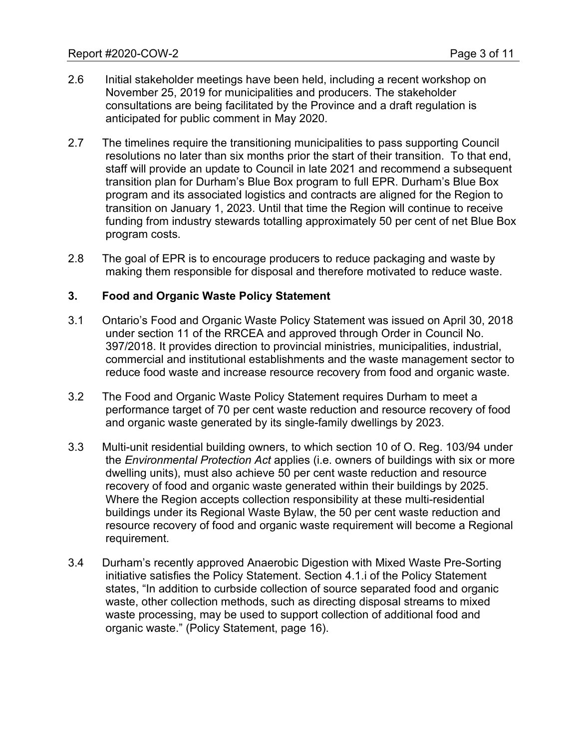- 2.6 Initial stakeholder meetings have been held, including a recent workshop on November 25, 2019 for municipalities and producers. The stakeholder consultations are being facilitated by the Province and a draft regulation is anticipated for public comment in May 2020.
- 2.7 The timelines require the transitioning municipalities to pass supporting Council resolutions no later than six months prior the start of their transition. To that end, staff will provide an update to Council in late 2021 and recommend a subsequent transition plan for Durham's Blue Box program to full EPR. Durham's Blue Box program and its associated logistics and contracts are aligned for the Region to transition on January 1, 2023. Until that time the Region will continue to receive funding from industry stewards totalling approximately 50 per cent of net Blue Box program costs.
- 2.8 The goal of EPR is to encourage producers to reduce packaging and waste by making them responsible for disposal and therefore motivated to reduce waste.

#### **3. Food and Organic Waste Policy Statement**

- 3.1 Ontario's Food and Organic Waste Policy Statement was issued on April 30, 2018 under section 11 of the RRCEA and approved through Order in Council No. 397/2018. It provides direction to provincial ministries, municipalities, industrial, commercial and institutional establishments and the waste management sector to reduce food waste and increase resource recovery from food and organic waste.
- 3.2 The Food and Organic Waste Policy Statement requires Durham to meet a performance target of 70 per cent waste reduction and resource recovery of food and organic waste generated by its single-family dwellings by 2023.
- 3.3 Multi-unit residential building owners, to which section 10 of O. Reg. 103/94 under the *Environmental Protection Act* applies (i.e. owners of buildings with six or more dwelling units), must also achieve 50 per cent waste reduction and resource recovery of food and organic waste generated within their buildings by 2025. Where the Region accepts collection responsibility at these multi-residential buildings under its Regional Waste Bylaw, the 50 per cent waste reduction and resource recovery of food and organic waste requirement will become a Regional requirement.
- 3.4 Durham's recently approved Anaerobic Digestion with Mixed Waste Pre-Sorting initiative satisfies the Policy Statement. Section 4.1.i of the Policy Statement states, "In addition to curbside collection of source separated food and organic waste, other collection methods, such as directing disposal streams to mixed waste processing, may be used to support collection of additional food and organic waste." (Policy Statement, page 16).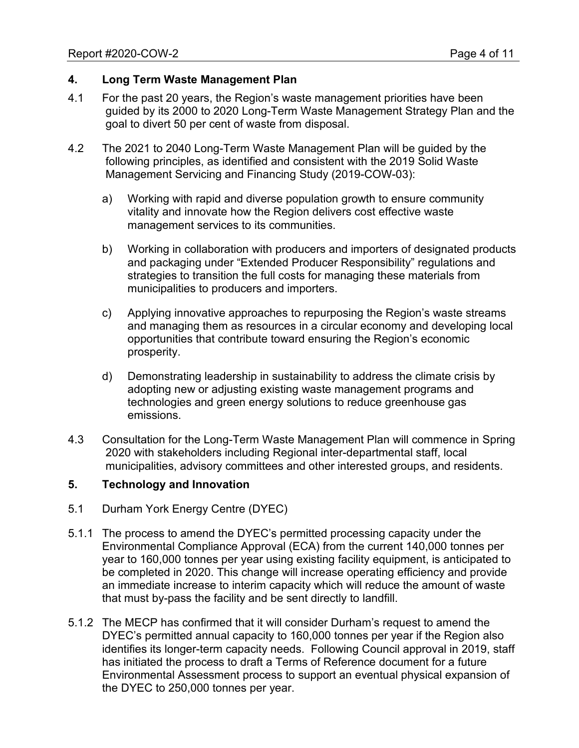#### **4. Long Term Waste Management Plan**

- 4.1 For the past 20 years, the Region's waste management priorities have been guided by its 2000 to 2020 Long-Term Waste Management Strategy Plan and the goal to divert 50 per cent of waste from disposal.
- 4.2 The 2021 to 2040 Long-Term Waste Management Plan will be guided by the following principles, as identified and consistent with the 2019 Solid Waste Management Servicing and Financing Study (2019-COW-03):
	- a) Working with rapid and diverse population growth to ensure community vitality and innovate how the Region delivers cost effective waste management services to its communities.
	- b) Working in collaboration with producers and importers of designated products and packaging under "Extended Producer Responsibility" regulations and strategies to transition the full costs for managing these materials from municipalities to producers and importers.
	- c) Applying innovative approaches to repurposing the Region's waste streams and managing them as resources in a circular economy and developing local opportunities that contribute toward ensuring the Region's economic prosperity.
	- d) Demonstrating leadership in sustainability to address the climate crisis by adopting new or adjusting existing waste management programs and technologies and green energy solutions to reduce greenhouse gas emissions.
- 4.3 Consultation for the Long-Term Waste Management Plan will commence in Spring 2020 with stakeholders including Regional inter-departmental staff, local municipalities, advisory committees and other interested groups, and residents.

## **5. Technology and Innovation**

- 5.1 Durham York Energy Centre (DYEC)
- 5.1.1 The process to amend the DYEC's permitted processing capacity under the Environmental Compliance Approval (ECA) from the current 140,000 tonnes per year to 160,000 tonnes per year using existing facility equipment, is anticipated to be completed in 2020. This change will increase operating efficiency and provide an immediate increase to interim capacity which will reduce the amount of waste that must by-pass the facility and be sent directly to landfill.
- 5.1.2 The MECP has confirmed that it will consider Durham's request to amend the DYEC's permitted annual capacity to 160,000 tonnes per year if the Region also identifies its longer-term capacity needs. Following Council approval in 2019, staff has initiated the process to draft a Terms of Reference document for a future Environmental Assessment process to support an eventual physical expansion of the DYEC to 250,000 tonnes per year.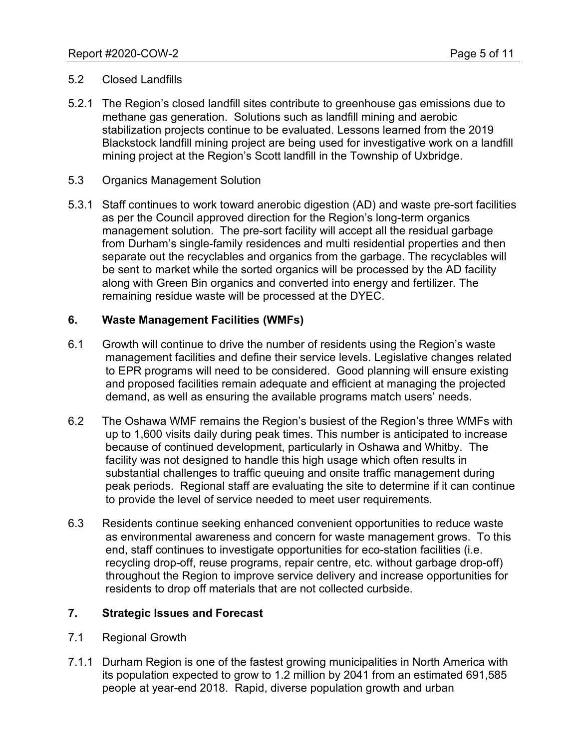## 5.2 Closed Landfills

- 5.2.1 The Region's closed landfill sites contribute to greenhouse gas emissions due to methane gas generation. Solutions such as landfill mining and aerobic stabilization projects continue to be evaluated. Lessons learned from the 2019 Blackstock landfill mining project are being used for investigative work on a landfill mining project at the Region's Scott landfill in the Township of Uxbridge.
- 5.3 Organics Management Solution
- 5.3.1 Staff continues to work toward anerobic digestion (AD) and waste pre-sort facilities as per the Council approved direction for the Region's long-term organics management solution. The pre-sort facility will accept all the residual garbage from Durham's single-family residences and multi residential properties and then separate out the recyclables and organics from the garbage. The recyclables will be sent to market while the sorted organics will be processed by the AD facility along with Green Bin organics and converted into energy and fertilizer. The remaining residue waste will be processed at the DYEC.

#### **6. Waste Management Facilities (WMFs)**

- 6.1 Growth will continue to drive the number of residents using the Region's waste management facilities and define their service levels. Legislative changes related to EPR programs will need to be considered. Good planning will ensure existing and proposed facilities remain adequate and efficient at managing the projected demand, as well as ensuring the available programs match users' needs.
- 6.2 The Oshawa WMF remains the Region's busiest of the Region's three WMFs with up to 1,600 visits daily during peak times. This number is anticipated to increase because of continued development, particularly in Oshawa and Whitby. The facility was not designed to handle this high usage which often results in substantial challenges to traffic queuing and onsite traffic management during peak periods. Regional staff are evaluating the site to determine if it can continue to provide the level of service needed to meet user requirements.
- 6.3 Residents continue seeking enhanced convenient opportunities to reduce waste as environmental awareness and concern for waste management grows. To this end, staff continues to investigate opportunities for eco-station facilities (i.e. recycling drop-off, reuse programs, repair centre, etc. without garbage drop-off) throughout the Region to improve service delivery and increase opportunities for residents to drop off materials that are not collected curbside.

## **7. Strategic Issues and Forecast**

- 7.1 Regional Growth
- 7.1.1 Durham Region is one of the fastest growing municipalities in North America with its population expected to grow to 1.2 million by 2041 from an estimated 691,585 people at year-end 2018. Rapid, diverse population growth and urban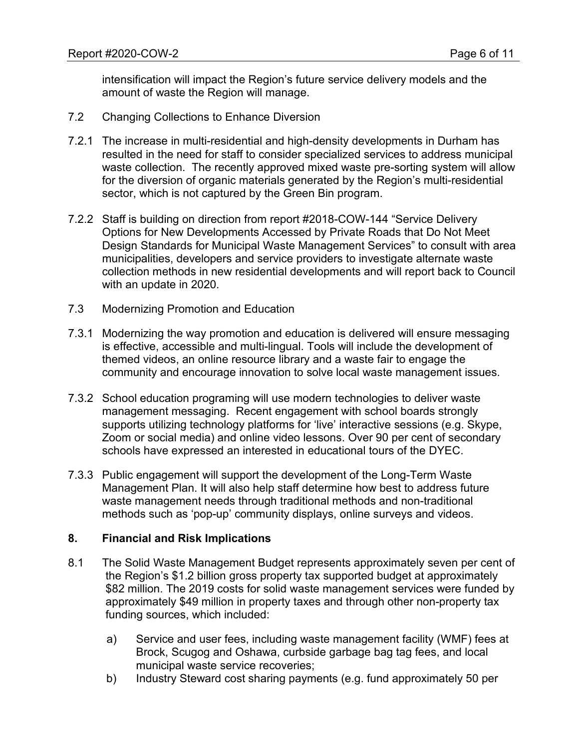intensification will impact the Region's future service delivery models and the amount of waste the Region will manage.

- 7.2 Changing Collections to Enhance Diversion
- 7.2.1 The increase in multi-residential and high-density developments in Durham has resulted in the need for staff to consider specialized services to address municipal waste collection. The recently approved mixed waste pre-sorting system will allow for the diversion of organic materials generated by the Region's multi-residential sector, which is not captured by the Green Bin program.
- 7.2.2 Staff is building on direction from report #2018-COW-144 "Service Delivery Options for New Developments Accessed by Private Roads that Do Not Meet Design Standards for Municipal Waste Management Services" to consult with area municipalities, developers and service providers to investigate alternate waste collection methods in new residential developments and will report back to Council with an update in 2020.
- 7.3 Modernizing Promotion and Education
- 7.3.1 Modernizing the way promotion and education is delivered will ensure messaging is effective, accessible and multi-lingual. Tools will include the development of themed videos, an online resource library and a waste fair to engage the community and encourage innovation to solve local waste management issues.
- 7.3.2 School education programing will use modern technologies to deliver waste management messaging. Recent engagement with school boards strongly supports utilizing technology platforms for 'live' interactive sessions (e.g. Skype, Zoom or social media) and online video lessons. Over 90 per cent of secondary schools have expressed an interested in educational tours of the DYEC.
- 7.3.3 Public engagement will support the development of the Long-Term Waste Management Plan. It will also help staff determine how best to address future waste management needs through traditional methods and non-traditional methods such as 'pop-up' community displays, online surveys and videos.

## **8. Financial and Risk Implications**

- 8.1 The Solid Waste Management Budget represents approximately seven per cent of the Region's \$1.2 billion gross property tax supported budget at approximately \$82 million. The 2019 costs for solid waste management services were funded by approximately \$49 million in property taxes and through other non-property tax funding sources, which included:
	- a) Service and user fees, including waste management facility (WMF) fees at Brock, Scugog and Oshawa, curbside garbage bag tag fees, and local municipal waste service recoveries;
	- b) Industry Steward cost sharing payments (e.g. fund approximately 50 per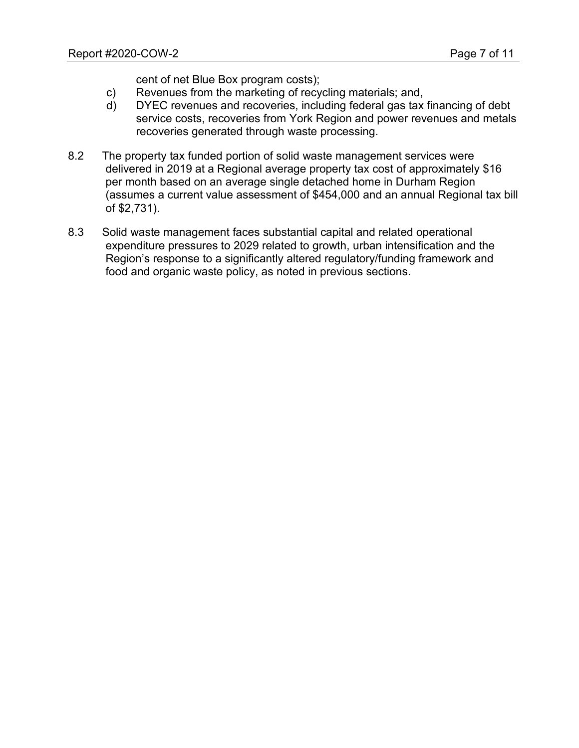cent of net Blue Box program costs);

- c) Revenues from the marketing of recycling materials; and,
- d) DYEC revenues and recoveries, including federal gas tax financing of debt service costs, recoveries from York Region and power revenues and metals recoveries generated through waste processing.
- 8.2 The property tax funded portion of solid waste management services were delivered in 2019 at a Regional average property tax cost of approximately \$16 per month based on an average single detached home in Durham Region (assumes a current value assessment of \$454,000 and an annual Regional tax bill of \$2,731).
- 8.3 Solid waste management faces substantial capital and related operational expenditure pressures to 2029 related to growth, urban intensification and the Region's response to a significantly altered regulatory/funding framework and food and organic waste policy, as noted in previous sections.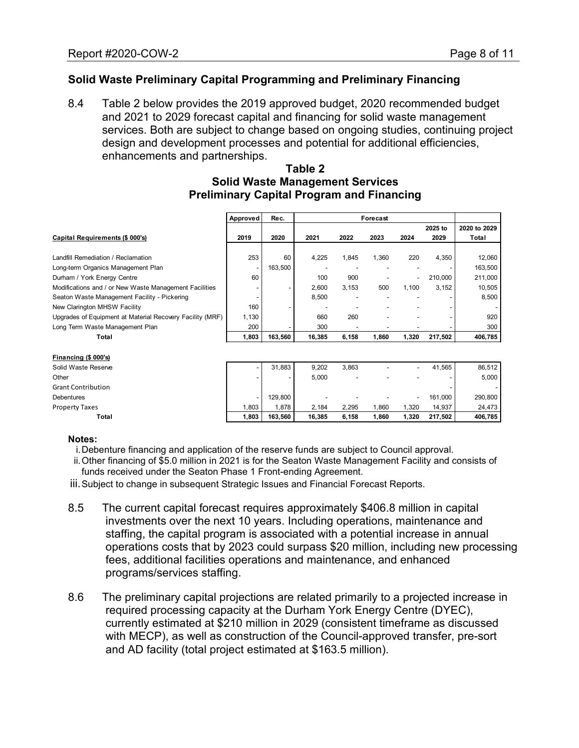# **Solid Waste Preliminary Capital Programming and Preliminary Financing**

8.4 Table 2 below provides the 2019 approved budget, 2020 recommended budget and 2021 to 2029 forecast capital and financing for solid waste management services. Both are subject to change based on ongoing studies, continuing project design and development processes and potential for additional efficiencies, enhancements and partnerships.

#### **Table 2 Solid Waste Management Services Preliminary Capital Program and Financing**

|                                                           | Approved | Rec.    | Forecast |       |       |       |         |              |
|-----------------------------------------------------------|----------|---------|----------|-------|-------|-------|---------|--------------|
|                                                           |          |         |          |       |       |       | 2025 to | 2020 to 2029 |
| Capital Requirements (\$ 000's)                           | 2019     | 2020    | 2021     | 2022  | 2023  | 2024  | 2029    | Total        |
|                                                           |          |         |          |       |       |       |         |              |
| Landfill Remediation / Reclamation                        | 253      | 60      | 4,225    | 1,845 | 1,360 | 220   | 4,350   | 12,060       |
| Long-term Organics Management Plan                        |          | 163,500 |          |       |       |       |         | 163,500      |
| Durham / York Energy Centre                               | 60       |         | 100      | 900   |       |       | 210,000 | 211,000      |
| Modifications and / or New Waste Management Facilities    |          |         | 2,600    | 3,153 | 500   | 1,100 | 3,152   | 10,505       |
| Seaton Waste Management Facility - Pickering              |          |         | 8,500    |       |       |       |         | 8,500        |
| New Clarington MHSW Facility                              | 160      |         |          |       |       |       |         |              |
| Upgrades of Equipment at Material Recovery Facility (MRF) | 1,130    |         | 660      | 260   |       |       |         | 920          |
| Long Term Waste Management Plan                           | 200      |         | 300      |       |       |       |         | 300          |
| Total                                                     | 1,803    | 163,560 | 16,385   | 6,158 | 1,860 | 1,320 | 217,502 | 406,785      |
|                                                           |          |         |          |       |       |       |         |              |
| Financing (\$ 000's)                                      |          |         |          |       |       |       |         |              |
| Solid Waste Reserve                                       |          | 31,883  | 9,202    | 3,863 |       |       | 41,565  | 86,512       |
| Other                                                     |          |         | 5,000    |       |       |       |         | 5,000        |
| <b>Grant Contribution</b>                                 |          |         |          |       |       |       |         |              |
| <b>Debentures</b>                                         |          | 129,800 |          |       |       |       | 161,000 | 290,800      |
| <b>Property Taxes</b>                                     | 1,803    | 1,878   | 2,184    | 2,295 | 1,860 | 1,320 | 14,937  | 24,473       |
| Total                                                     | 1,803    | 163,560 | 16,385   | 6,158 | 1,860 | 1,320 | 217,502 | 406,785      |

#### **Notes:**

- i.Debenture financing and application of the reserve funds are subject to Council approval.
- ii.Other financing of \$5.0 million in 2021 is for the Seaton Waste Management Facility and consists of funds received under the Seaton Phase 1 Front-ending Agreement.
- iii.Subject to change in subsequent Strategic Issues and Financial Forecast Reports.
- 8.5 The current capital forecast requires approximately \$406.8 million in capital investments over the next 10 years. Including operations, maintenance and staffing, the capital program is associated with a potential increase in annual operations costs that by 2023 could surpass \$20 million, including new processing fees, additional facilities operations and maintenance, and enhanced programs/services staffing.
- 8.6 The preliminary capital projections are related primarily to a projected increase in required processing capacity at the Durham York Energy Centre (DYEC), currently estimated at \$210 million in 2029 (consistent timeframe as discussed with MECP), as well as construction of the Council-approved transfer, pre-sort and AD facility (total project estimated at \$163.5 million).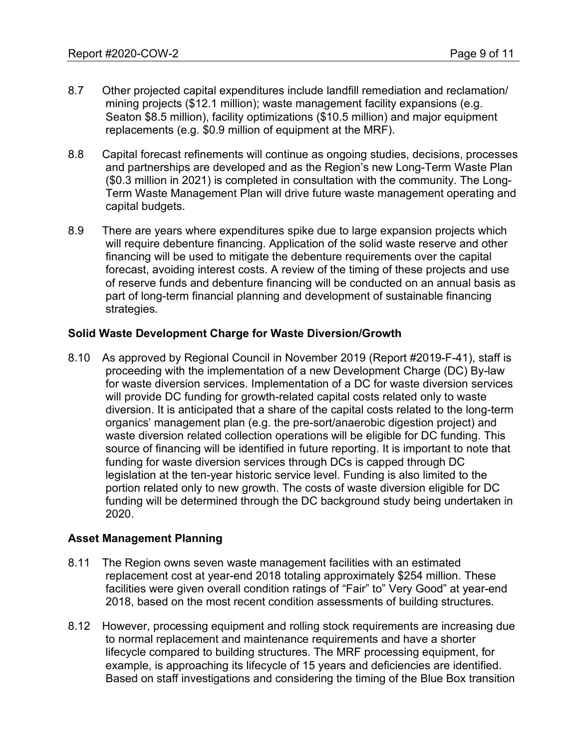- 8.7 Other projected capital expenditures include landfill remediation and reclamation/ mining projects (\$12.1 million); waste management facility expansions (e.g. Seaton \$8.5 million), facility optimizations (\$10.5 million) and major equipment replacements (e.g. \$0.9 million of equipment at the MRF).
- 8.8 Capital forecast refinements will continue as ongoing studies, decisions, processes and partnerships are developed and as the Region's new Long-Term Waste Plan (\$0.3 million in 2021) is completed in consultation with the community. The Long-Term Waste Management Plan will drive future waste management operating and capital budgets.
- 8.9 There are years where expenditures spike due to large expansion projects which will require debenture financing. Application of the solid waste reserve and other financing will be used to mitigate the debenture requirements over the capital forecast, avoiding interest costs. A review of the timing of these projects and use of reserve funds and debenture financing will be conducted on an annual basis as part of long-term financial planning and development of sustainable financing strategies.

#### **Solid Waste Development Charge for Waste Diversion/Growth**

8.10 As approved by Regional Council in November 2019 (Report #2019-F-41), staff is proceeding with the implementation of a new Development Charge (DC) By-law for waste diversion services. Implementation of a DC for waste diversion services will provide DC funding for growth-related capital costs related only to waste diversion. It is anticipated that a share of the capital costs related to the long-term organics' management plan (e.g. the pre-sort/anaerobic digestion project) and waste diversion related collection operations will be eligible for DC funding. This source of financing will be identified in future reporting. It is important to note that funding for waste diversion services through DCs is capped through DC legislation at the ten-year historic service level. Funding is also limited to the portion related only to new growth. The costs of waste diversion eligible for DC funding will be determined through the DC background study being undertaken in 2020.

#### **Asset Management Planning**

- 8.11 The Region owns seven waste management facilities with an estimated replacement cost at year-end 2018 totaling approximately \$254 million. These facilities were given overall condition ratings of "Fair" to" Very Good" at year-end 2018, based on the most recent condition assessments of building structures.
- 8.12 However, processing equipment and rolling stock requirements are increasing due to normal replacement and maintenance requirements and have a shorter lifecycle compared to building structures. The MRF processing equipment, for example, is approaching its lifecycle of 15 years and deficiencies are identified. Based on staff investigations and considering the timing of the Blue Box transition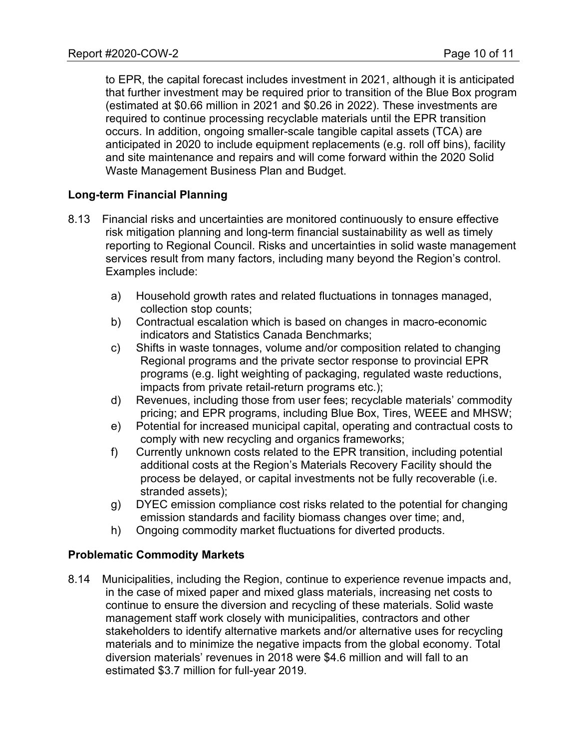to EPR, the capital forecast includes investment in 2021, although it is anticipated that further investment may be required prior to transition of the Blue Box program (estimated at \$0.66 million in 2021 and \$0.26 in 2022). These investments are required to continue processing recyclable materials until the EPR transition occurs. In addition, ongoing smaller-scale tangible capital assets (TCA) are anticipated in 2020 to include equipment replacements (e.g. roll off bins), facility and site maintenance and repairs and will come forward within the 2020 Solid Waste Management Business Plan and Budget.

# **Long-term Financial Planning**

- 8.13 Financial risks and uncertainties are monitored continuously to ensure effective risk mitigation planning and long-term financial sustainability as well as timely reporting to Regional Council. Risks and uncertainties in solid waste management services result from many factors, including many beyond the Region's control. Examples include:
	- a) Household growth rates and related fluctuations in tonnages managed, collection stop counts;
	- b) Contractual escalation which is based on changes in macro-economic indicators and Statistics Canada Benchmarks;
	- c) Shifts in waste tonnages, volume and/or composition related to changing Regional programs and the private sector response to provincial EPR programs (e.g. light weighting of packaging, regulated waste reductions, impacts from private retail-return programs etc.);
	- d) Revenues, including those from user fees; recyclable materials' commodity pricing; and EPR programs, including Blue Box, Tires, WEEE and MHSW;
	- e) Potential for increased municipal capital, operating and contractual costs to comply with new recycling and organics frameworks;
	- f) Currently unknown costs related to the EPR transition, including potential additional costs at the Region's Materials Recovery Facility should the process be delayed, or capital investments not be fully recoverable (i.e. stranded assets);
	- g) DYEC emission compliance cost risks related to the potential for changing emission standards and facility biomass changes over time; and,
	- h) Ongoing commodity market fluctuations for diverted products.

# **Problematic Commodity Markets**

8.14 Municipalities, including the Region, continue to experience revenue impacts and, in the case of mixed paper and mixed glass materials, increasing net costs to continue to ensure the diversion and recycling of these materials. Solid waste management staff work closely with municipalities, contractors and other stakeholders to identify alternative markets and/or alternative uses for recycling materials and to minimize the negative impacts from the global economy. Total diversion materials' revenues in 2018 were \$4.6 million and will fall to an estimated \$3.7 million for full-year 2019.